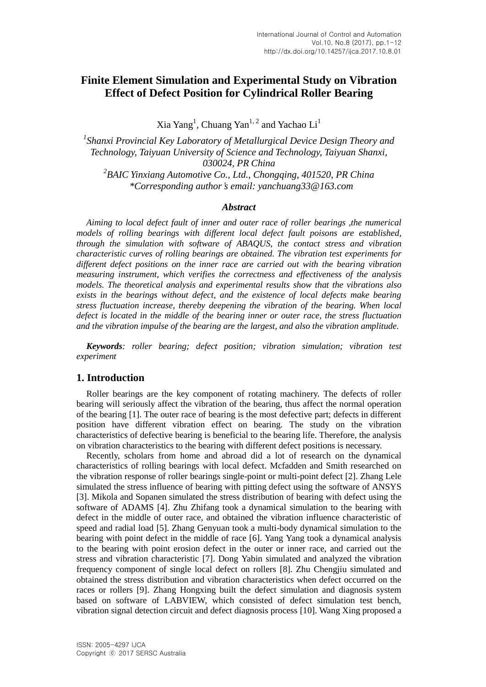# **Finite Element Simulation and Experimental Study on Vibration Effect of Defect Position for Cylindrical Roller Bearing**

Xia Yang<sup>1</sup>, Chuang Yan<sup>1, 2</sup> and Yachao Li<sup>1</sup>

*1 Shanxi Provincial Key Laboratory of Metallurgical Device Design Theory and Technology, Taiyuan University of Science and Technology, Taiyuan Shanxi, 030024, PR China 2 BAIC Yinxiang Automotive Co., Ltd., Chongqing, 401520, PR China \*Corresponding author's email: yanchuang33@163.com*

#### *Abstract*

*[Aiming](javascript:void(0);) [to](javascript:void(0);) [local](javascript:void(0);) [defect](javascript:void(0);) [fault](javascript:void(0);) of inner and outer race of roller bearings ,the numerical models of rolling bearings with different [local](javascript:void(0);) [defect](javascript:void(0);) [fault](javascript:void(0);) poisons are [established,](javascript:void(0);) [through](javascript:void(0);) [the](javascript:void(0);) [simulation](javascript:void(0);) with [software](javascript:void(0);) [of](javascript:void(0);) [ABAQUS,](javascript:void(0);) [the](javascript:void(0);) [contact](javascript:void(0);) [stress](javascript:void(0);) and [vibration](javascript:void(0);) [characteristic](javascript:void(0);) [curves](javascript:void(0);) of rolling bearings are obtained. The vibration test experiments for different defect positions on the inner race are carried out with the bearing vibration measuring instrument, which verifies the correctness and effectiveness of the analysis models. The theoretical analysis and experimental results show that the vibrations also exists in the bearings without defect, and the existence of local defects make bearing stress [fluctuation](javascript:void(0);) [increase, thereby](javascript:void(0);) [deepening](javascript:void(0);) [the](javascript:void(0);) [vibration](javascript:void(0);) [of](javascript:void(0);) [the](javascript:void(0);) [bearing.](javascript:void(0);) When local defect is located in the [middle](javascript:void(0);) [of](javascript:void(0);) the bearing inner or outer race, the stress fluctuation and the vibration impulse of the bearing are the largest, and also the vibration amplitude.*

*Keywords: roller bearing; defect position; vibration simulation; vibration test experiment*

### **1. Introduction**

Roller bearings are the key component of rotating machinery. The defects of roller bearing will seriously affect the vibration of the bearing, thus affect the normal operation of the bearing [1]. The outer race of bearing is the most defective part; defects in different position have different vibration effect on bearing. The study on the vibration characteristics of defective bearing is beneficial to the bearing life. Therefore, the analysis on vibration characteristics to the bearing with different defect positions is necessary.

Recently, scholars [from](javascript:void(0);) [home](javascript:void(0);) [and](javascript:void(0);) [abroad](javascript:void(0);) did a lot of research on the dynamical characteristics of rolling bearings with local defect. Mcfadden and Smith researched on the vibration response of roller bearings single-point or multi-point defect [2]. Zhang Lele simulated the stress influence of bearing with pitting defect using the [software](javascript:void(0);) of ANSYS [3]. Mikola and Sopanen simulated the stress distribution of bearing with defect using the [software](javascript:void(0);) of ADAMS [4]. Zhu Zhifang took a dynamical simulation to the bearing with defect in the middle of outer race, and obtained the vibration influence characteristic of speed and radial load [5]. Zhang Genyuan took a multi-body dynamical simulation to the bearing with point defect in the middle of race [6]. Yang Yang took a dynamical analysis to the bearing with point erosion defect in the outer or inner race, and carried out the stress and vibration characteristic [7]. Dong Yabin simulated and analyzed the vibration frequency component of single local defect on rollers [8]. Zhu Chengjiu simulated and obtained the stress distribution and vibration characteristics when defect occurred on the races or rollers [9]. Zhang Hongxing built the defect simulation and diagnosis system based on software of LABVIEW, which consisted of defect simulation test bench, vibration signal detection circuit and defect diagnosis process [10]. Wang Xing proposed a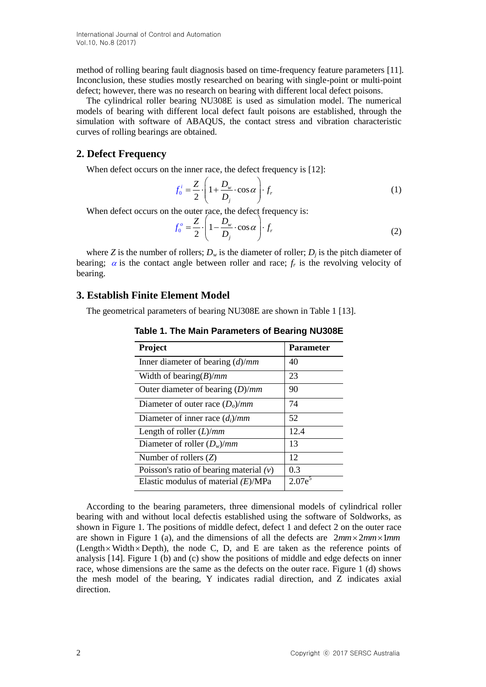International Journal of Control and Automation Vol.10, No.8 (2017)

method of rolling bearing fault diagnosis based on time-frequency feature parameters [11]. [Inconclusion,](javascript:void(0);) these studies mostly researched on bearing with single-point or multi-point defect; however, there was no research on bearing with different [local](javascript:void(0);) [defect](javascript:void(0);) poisons.

The cylindrical roller bearing NU308E is used as simulation model. The [numerical](javascript:void(0);) [models](javascript:void(0);) of bearing with different [local](javascript:void(0);) [defect](javascript:void(0);) [fault](javascript:void(0);) poisons are [established, through](javascript:void(0);) [the](javascript:void(0);) [simulation](javascript:void(0);) with [software](javascript:void(0);) [of](javascript:void(0);) [ABAQUS,](javascript:void(0);) [the](javascript:void(0);) [contact](javascript:void(0);) [stress](javascript:void(0);) and vibration characteristic curves of rolling bearings are obtained.

## **2. Defect Frequency**

When defect occurs on the inner race, the defect frequency is [12]:

$$
f_0^i = \frac{Z}{2} \cdot \left( 1 + \frac{D_w}{D_j} \cdot \cos \alpha \right) \cdot f_r \tag{1}
$$

When defect occurs on the outer race, the defect frequency is:<br> $Z \begin{pmatrix} 1 & D_w \end{pmatrix}$ 

$$
f_0^o = \frac{Z}{2} \cdot \left( 1 - \frac{D_w}{D_j} \cdot \cos \alpha \right) \cdot f_r \tag{2}
$$

where *Z* is the number of rollers;  $D_w$  is the diameter of roller;  $D_j$  is the pitch diameter of bearing;  $\alpha$  is the contact angle between roller and race;  $f_r$  is the revolving velocity of bearing.

### **3. Establish Finite Element Model**

The geometrical parameters of bearing NU308E are shown in Table 1 [13].

| Project                                   | <b>Parameter</b> |
|-------------------------------------------|------------------|
| Inner diameter of bearing $(d)/mm$        | 40               |
| Width of bearing $(B)/mm$                 | 23               |
| Outer diameter of bearing $(D)/mm$        | 90               |
| Diameter of outer race $(Do)/mm$          | 74               |
| Diameter of inner race $(d_i)/mm$         | 52               |
| Length of roller $(L)/mm$                 | 12.4             |
| Diameter of roller $(D_w)/mm$             | 13               |
| Number of rollers $(Z)$                   | 12               |
| Poisson's ratio of bearing material $(v)$ | 0.3              |
| Elastic modulus of material $(E)/MPa$     | 20               |

**Table 1. The Main Parameters of Bearing NU308E**

According to the bearing parameters, three dimensional models of cylindrical roller bearing with and without [local](javascript:void(0);) [defecti](javascript:void(0);)s established using the [software](javascript:void(0);) of Soldworks, as shown in Figure 1. The positions of middle defect, defect 1 and defect 2 on the outer race are shown in Figure 1 (a), and the dimensions of all the defects are  $2mm \times 2mm \times 1mm$  $(Length \times Width \times Depth)$ , the node C, D, and E are taken as the reference points of analysis [14]*.* Figure 1 (b) and (c) show the positions of middle and edge defects on inner race, whose dimensions are the same as the defects on the outer race. Figure 1 (d) shows the mesh model of the bearing, Y indicates radial direction, and Z indicates axial direction.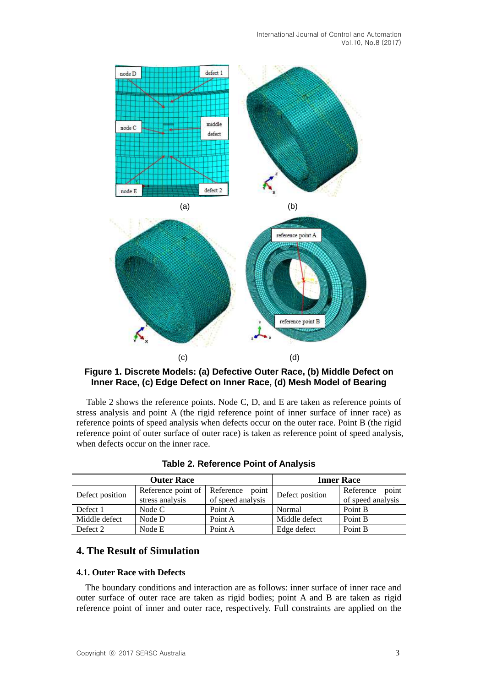International Journal of Control and Automation Vol.10, No.8 (2017)



## **Figure 1. [Discrete](javascript:void(0);) [Models](javascript:void(0);): (a) Defective Outer Race, (b) Middle Defect on Inner Race, (c) Edge Defect on Inner Race, (d) Mesh Model of Bearing**

Table 2 shows the reference points. Node C, D, and E are taken as reference points of stress analysis and point A (the rigid reference point of inner surface of inner race) as reference points of speed analysis when defects occur on the outer race. Point B (the rigid reference point of outer surface of outer race) is taken as reference point of speed analysis, when defects occur on the inner race.

|                 | <b>Outer Race</b>                     | <b>Inner Race</b>                       |                 |                                         |
|-----------------|---------------------------------------|-----------------------------------------|-----------------|-----------------------------------------|
| Defect position | Reference point of<br>stress analysis | Reference<br>point<br>of speed analysis | Defect position | point<br>Reference<br>of speed analysis |
| Defect 1        | Node C                                | Point A                                 | Normal          | Point B                                 |
| Middle defect   | Node D                                | Point A                                 | Middle defect   | Point B                                 |
| Defect 2        | Node E                                | Point A                                 | Edge defect     | Point B                                 |

**Table 2. Reference Point of Analysis**

# **4. The Result of Simulation**

#### **4.1. Outer Race with Defects**

The boundary conditions and interaction are as follows: inner surface of inner race and outer surface of outer race are taken as rigid bodies; point A and B are taken as rigid reference point of inner and outer race, respectively. Full constraints are applied on the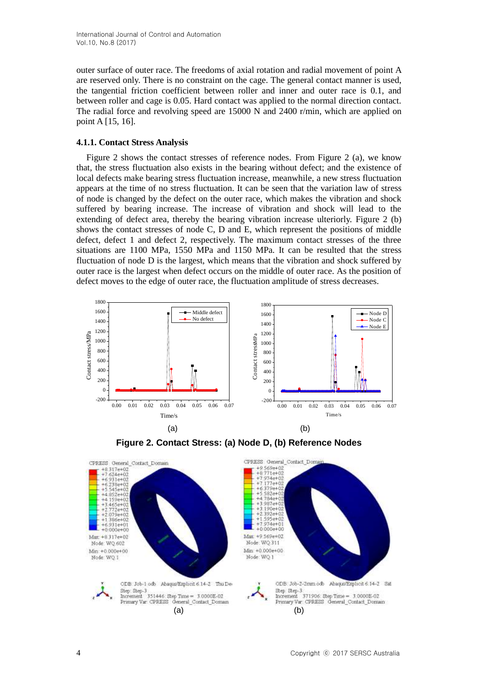outer surface of outer race. The freedoms of axial rotation and radial movement of point A are reserved only. There is no constraint on the cage. The general contact manner is used, the tangential friction coefficient between roller and inner and outer race is 0.1, and between roller and cage is 0.05. Hard contact was applied to the normal direction contact. The radial force and revolving speed are 15000 N and 2400 r/min*,* which are applied on point A [15, 16].

### **4.1.1. Contact Stress Analysis**

Figure 2 shows the contact stresses of reference nodes. From Figure 2 (a), we know that, the stress fluctuation also exists in the bearing without defect; and the existence of [local](javascript:void(0);) [defects](javascript:void(0);) make bearing stress fluctuation increase, meanwhile, a new stress fluctuation appears at the time of no stress fluctuation. It can be seen that the variation law of stress of node is changed by the defect on the outer race, which makes the vibration and shock suffered by bearing increase. The increase of vibration and shock will lead to the extending of defect area, thereby the bearing vibration increase ulteriorly. Figure 2 (b) shows the contact stresses of node C, D and E, which represent the positions of middle defect, defect 1 and defect 2, respectively. The maximum contact stresses of the three situations are 1100 MPa*,* 1550 MPa and 1150 MPa. It can be resulted that the stress fluctuation of node D is the largest, which means that the vibration and shock suffered by outer race is the largest when defect occurs on the middle of outer race. As the position of defect moves to the edge of outer race, the fluctuation amplitude of stress decreases.

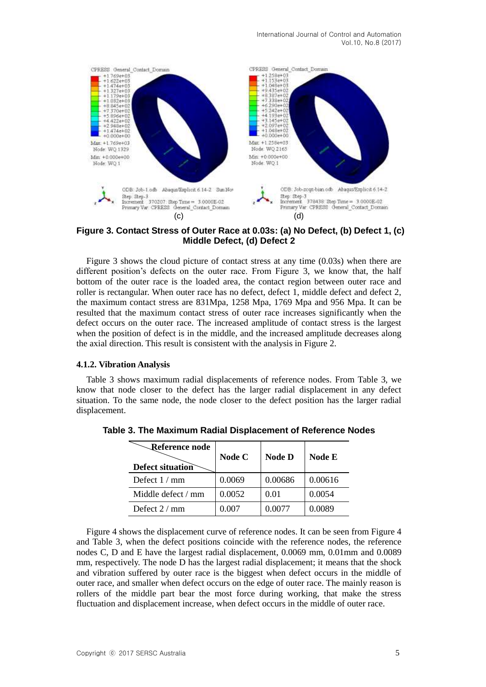

**Figure 3. Contact Stress of Outer Race at 0.03s: (a) No Defect, (b) Defect 1, (c) Middle Defect, (d) Defect 2**

Figure 3 shows the cloud picture of contact stress at any time (0.03s) when there are different position's defects on the outer race. From Figure 3, we know that, the half bottom of the outer race is the loaded area, the contact region between outer race and roller is rectangular. When outer race has no defect, defect 1, middle defect and defect 2, the maximum contact stress are 831Mpa, 1258 Mpa, 1769 Mpa and 956 Mpa. It can be resulted that the maximum contact stress of outer race increases significantly when the defect occurs on the outer race. The increased amplitude of contact stress is the largest when the position of defect is in the middle, and the increased amplitude decreases along the axial direction. This result is consistent with the analysis in Figure 2.

#### **4.1.2. Vibration Analysis**

Table 3 shows maximum radial displacements of reference nodes. From Table 3, we know that node closer to the defect has the larger radial displacement in any defect situation. To the same node, the node closer to the defect position has the larger radial displacement.

| <b>Reference node</b><br><b>Defect situation</b> | Node C | <b>Node D</b> | <b>Node E</b> |
|--------------------------------------------------|--------|---------------|---------------|
| Defect $1/mm$                                    | 0.0069 | 0.00686       | 0.00616       |
| Middle defect / mm                               | 0.0052 | 0.01          | 0.0054        |
| Defect $2/mm$                                    | 0.007  | 0.0077        | 0.0089        |

**Table 3. The Maximum Radial Displacement of Reference Nodes**

Figure 4 shows the displacement curve of reference nodes. It can be seen from Figure 4 and Table 3, when the defect positions coincide with the reference nodes, the reference nodes C, D and E have the largest radial displacement, 0.0069 mm, 0.01mm and 0.0089 mm, respectively. The node D has the largest radial displacement; it means that the shock and vibration suffered by outer race is the biggest when defect occurs in the middle of outer race, and smaller when defect occurs on the edge of outer race. The mainly reason is rollers of the middle part bear the most force during working, that make the stress fluctuation and displacement increase, when defect occurs in the middle of outer race.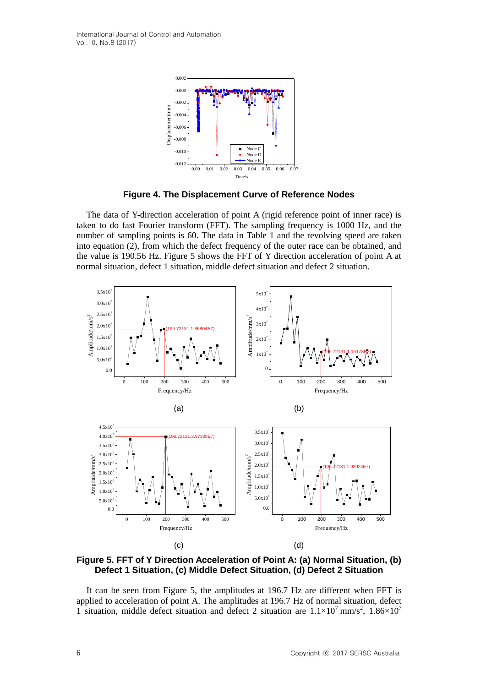

**Figure 4. The Displacement Curve of Reference Nodes**

The data of Y-direction acceleration of point A (rigid reference point of inner race) is taken to do fast Fourier transform (FFT). The sampling frequency is 1000 Hz, and the number of sampling points is 60. The data in Table 1 and the revolving speed are taken into equation (2), from which the defect frequency of the outer race can be obtained, and the value is 190.56 Hz. Figure 5 shows the FFT of Y direction acceleration of point A at normal situation, defect 1 situation, middle defect situation and defect 2 situation.



**Figure 5. FFT of Y Direction Acceleration of Point A: (a) Normal Situation, (b) Defect 1 Situation, (c) Middle Defect Situation, (d) Defect 2 Situation**

It can be seen from Figure 5, the amplitudes at 196.7 Hz are different when FFT is applied to acceleration of point A. The amplitudes at 196.7 Hz of normal situation, defect 1 situation, middle defect situation and defect 2 situation are  $1.1 \times 10^7$  mm/s<sup>2</sup>,  $1.86 \times 10^7$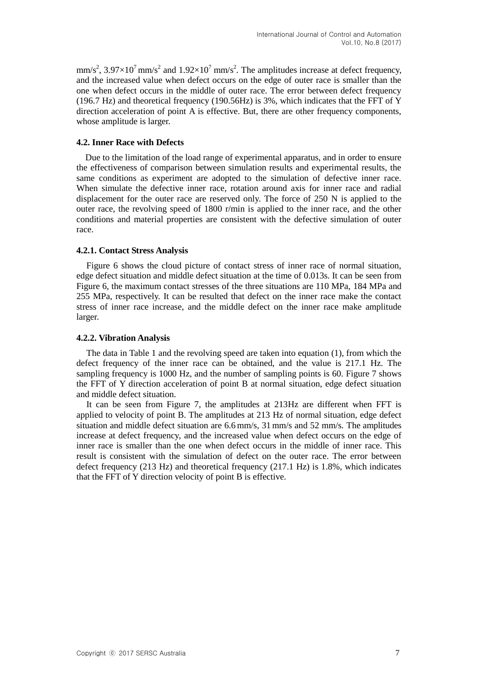$mm/s<sup>2</sup>$ , 3.97×10<sup>7</sup> mm/s<sup>2</sup> and 1.92×10<sup>7</sup> mm/s<sup>2</sup>. The amplitudes increase at defect frequency, and the increased value when defect occurs on the edge of outer race is smaller than the one when defect occurs in the middle of outer race. The error between defect frequency (196.7 Hz) and theoretical frequency (190.56Hz) is 3%, which indicates that the FFT of Y direction acceleration of point A is effective. But, there are other frequency components, whose amplitude is larger.

### **4.2. Inner Race with Defects**

Due to the limitation of the load range of experimental apparatus, and in order to ensure the effectiveness of comparison between simulation results and experimental results, the same conditions as experiment are adopted to the simulation of defective inner race. When simulate the defective inner race, rotation around axis for inner race and radial displacement for the outer race are reserved only. The force of 250 N is applied to the outer race, the revolving speed of 1800 r/min is applied to the inner race, and the other conditions and material properties are consistent with the defective simulation of outer race.

#### **4.2.1. Contact Stress Analysis**

Figure 6 shows the cloud picture of contact stress of inner race of normal situation, edge defect situation and middle defect situation at the time of 0.013s. It can be seen from Figure 6, the maximum contact stresses of the three situations are 110 MPa, 184 MPa and 255 MPa, respectively. It can be resulted that defect on the inner race make the contact stress of inner race increase, and the middle defect on the inner race make amplitude larger.

#### **4.2.2. Vibration Analysis**

The data in Table 1 and the revolving speed are taken into equation (1), from which the defect frequency of the inner race can be obtained, and the value is 217.1 Hz. The sampling frequency is 1000 Hz, and the number of sampling points is 60. Figure 7 shows the FFT of Y direction acceleration of point B at normal situation, edge defect situation and middle defect situation.

It can be seen from Figure 7, the amplitudes at 213Hz are different when FFT is applied to velocity of point B. The amplitudes at 213 Hz of normal situation, edge defect situation and middle defect situation are 6.6 mm/s, 31mm/s and 52 mm/s*.* The amplitudes increase at defect frequency, and the increased value when defect occurs on the edge of inner race is smaller than the one when defect occurs in the middle of inner race. This result is consistent with the simulation of defect on the outer race. The error between defect frequency  $(213 \text{ Hz})$  and theoretical frequency  $(217.1 \text{ Hz})$  is 1.8%, which indicates that the FFT of Y direction velocity of point B is effective.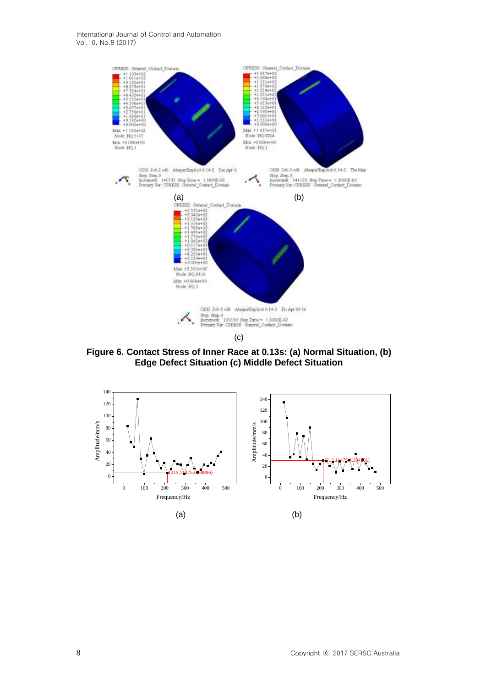

**Figure 6. Contact Stress of Inner Race at 0.13s: (a) Normal Situation, (b) Edge Defect Situation (c) Middle Defect Situation**

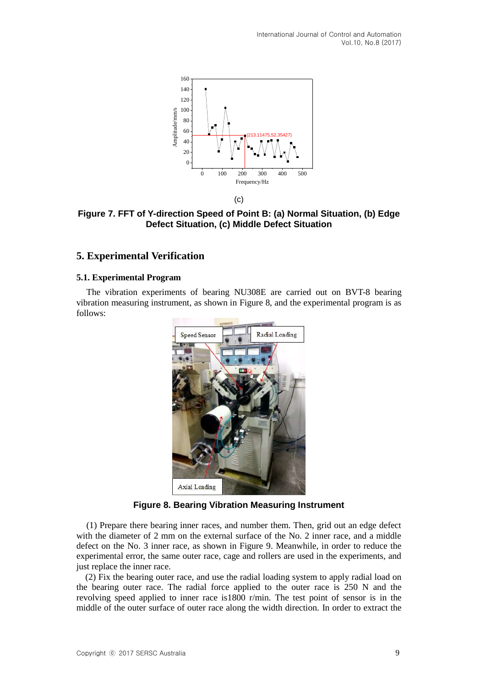

**Figure 7. FFT of Y-direction Speed of Point B: (a) Normal Situation, (b) Edge Defect Situation, (c) Middle Defect Situation**

## **5. Experimental Verification**

### **5.1. Experimental Program**

The vibration experiments of bearing NU308E are carried out on BVT-8 bearing vibration measuring instrument, as shown in Figure 8, and the experimental program is as follows:



**Figure 8. Bearing Vibration Measuring Instrument**

(1) Prepare there bearing inner races, and number them. Then, grid out an edge defect with the diameter of 2 mm on the external surface of the No. 2 inner race, and a middle defect on the No. 3 inner race, as shown in Figure 9. Meanwhile, in order to reduce the experimental error, the same outer race, cage and rollers are used in the experiments, and just replace the inner race.

(2) Fix the bearing outer race, and use the radial loading system to apply radial load on the bearing outer race. The radial force applied to the outer race is 250 N and the revolving speed applied to inner race is1800 r/min. The test point of sensor is in the middle of the outer surface of outer race along the width direction. In order to extract the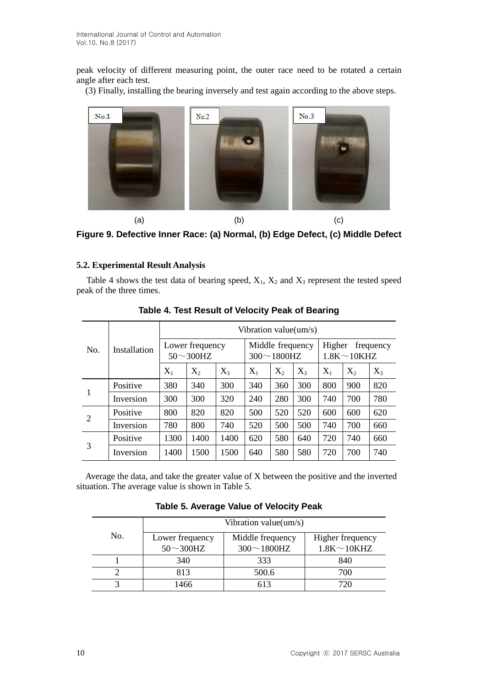peak velocity of different measuring point, the outer race need to be rotated a certain angle after each test.

(3) Finally, installing the bearing inversely and test again according to the above steps.



(a)  $(b)$  (c) **Figure 9. Defective Inner Race: (a) Normal, (b) Edge Defect, (c) Middle Defect**

# **5.2. Experimental Result Analysis**

Table 4 shows the test data of bearing speed,  $X_1$ ,  $X_2$  and  $X_3$  represent the tested speed peak of the three times.

|     | Installation | Vibration value(um/s)               |       |                                     |       |                                           |       |       |       |       |
|-----|--------------|-------------------------------------|-------|-------------------------------------|-------|-------------------------------------------|-------|-------|-------|-------|
| No. |              | Lower frequency<br>$50 \sim 300$ HZ |       | Middle frequency<br>$300 - 1800$ HZ |       | Higher<br>frequency<br>$1.8K \sim 10K$ HZ |       |       |       |       |
|     |              | $X_1$                               | $X_2$ | $X_3$                               | $X_1$ | $X_2$                                     | $X_3$ | $X_1$ | $X_2$ | $X_3$ |
| 1   | Positive     | 380                                 | 340   | 300                                 | 340   | 360                                       | 300   | 800   | 900   | 820   |
|     | Inversion    | 300                                 | 300   | 320                                 | 240   | 280                                       | 300   | 740   | 700   | 780   |
| 2   | Positive     | 800                                 | 820   | 820                                 | 500   | 520                                       | 520   | 600   | 600   | 620   |
|     | Inversion    | 780                                 | 800   | 740                                 | 520   | 500                                       | 500   | 740   | 700   | 660   |
| 3   | Positive     | 1300                                | 1400  | 1400                                | 620   | 580                                       | 640   | 720   | 740   | 660   |
|     | Inversion    | 1400                                | 1500  | 1500                                | 640   | 580                                       | 580   | 720   | 700   | 740   |

**Table 4. Test Result of Velocity Peak of Bearing**

Average the data, and take the greater value of X between the positive and the inverted situation. The average value is shown in Table 5.

|     | Vibration value(um/s) |                  |                  |  |  |  |
|-----|-----------------------|------------------|------------------|--|--|--|
| No. | Lower frequency       | Middle frequency | Higher frequency |  |  |  |
|     | $50 \sim 300$ HZ      | $300 - 1800$ HZ  | $1.8K\sim10KHZ$  |  |  |  |
|     | 340                   | 333              | 840              |  |  |  |
|     | 813                   | 500.6            | 700              |  |  |  |
|     | 1466                  | 613              | 720              |  |  |  |

**Table 5. Average Value of Velocity Peak**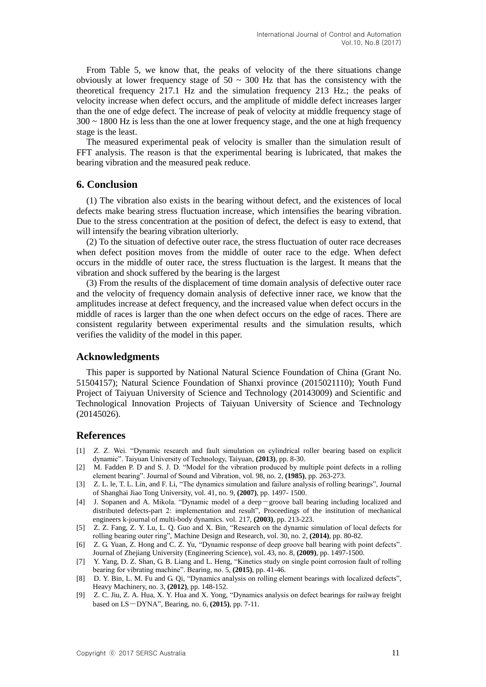From Table 5, we know that, the peaks of velocity of the there situations change obviously at lower frequency stage of  $50 \sim 300$  Hz that has the consistency with the theoretical frequency 217.1 Hz and the simulation frequency 213 Hz.; the peaks of velocity increase when defect occurs, and the amplitude of middle defect increases larger than the one of edge defect. The increase of peak of velocity at middle frequency stage of  $300 \sim 1800$  Hz is less than the one at lower frequency stage, and the one at high frequency stage is the least.

The measured experimental peak of velocity is smaller than the simulation result of FFT analysis. The reason is that the experimental bearing is lubricated, that makes the bearing vibration and the measured peak reduce.

## **6. Conclusion**

(1) The vibration also exists in the bearing without defect, and the existences of [local](javascript:void(0);) [defects](javascript:void(0);) make bearing stress fluctuation increase, which intensifies the bearing vibration. Due to the stress concentration at the position of defect, the defect is easy to extend, that will intensify the bearing vibration ulteriorly.

(2) To the situation of defective outer race, the stress fluctuation of outer race decreases when defect position moves from the middle of outer race to the edge. When defect occurs in the middle of outer race, the stress fluctuation is the largest. It means that the vibration and shock suffered by the bearing is the largest

(3) From the results of the displacement of time domain analysis of defective outer race and the velocity of frequency domain analysis of defective inner race, we know that the amplitudes increase at defect frequency, and the increased value when defect occurs in the middle of races is larger than the one when defect occurs on the edge of races. There are consistent regularity between experimental results and the simulation results, which verifies the validity of the model in this paper.

## **Acknowledgments**

This paper is supported by National Natural Science Foundation of China (Grant No. 51504157); Natural Science Foundation of Shanxi province (2015021110); Youth Fund Project of Taiyuan University of Science and Technology (20143009) and Scientific and Technological Innovation Projects of Taiyuan University of Science and Technology (20145026).

## **References**

- [1] Z. Z. Wei. "Dynamic research and fault simulation on cylindrical roller bearing based on explicit dynamic". Taiyuan University of Technology, Taiyuan, **(2013)**, pp. 8-30.
- [2] M. Fadden P. D and S. J. D. "Model for the vibration produced by multiple point defects in a rolling element bearing". Journal of Sound and Vibration, vol. 98, no. 2, **(1985)**, pp. 263-273.
- [3] Z. L. le, T. L. Lin, and F. Li, "The dynamics simulation and failure analysis of rolling bearings", Journal of Shanghai Jiao Tong University, vol. 41, no. 9, **(2007)**, pp. 1497- 1500.
- [4] J. Sopanen and A. Mikola. "Dynamic model of a deep-groove ball bearing including localized and distributed defects-part 2: implementation and result", Proceedings of the institution of mechanical engineers k-journal of multi-body dynamics. vol. 217, **(2003)**, pp. 213-223.
- [5] Z. Z. Fang, Z. Y. Lu, L. Q. Guo and X. Bin, "Research on the dynamic simulation of local defects for rolling bearing outer ring", Machine Design and Research, vol. 30, no. 2, **(2014)**, pp. 80-82.
- [6] Z. G. Yuan, Z. Hong and C. Z. Yu, "Dynamic response of deep groove ball bearing with point defects". Journal of Zhejiang University (Engineering Science), vol. 43, no. 8, **(2009)**, pp. 1497-1500.
- [7] Y. Yang, D. Z. Shan, G. B. Liang and L. Heng, "Kinetics study on single point corrosion fault of rolling bearing for vibrating machine". Bearing, no. 5, **(2015)**, pp. 41-46.
- [8] D. Y. Bin, L. M. Fu and G. Qi, "Dynamics analysis on rolling element bearings with localized defects", Heavy Machinery, no. 3, **(2012)**, pp. 148-152.
- [9] Z. C. Jiu, Z. A. Hua, X. Y. Hua and X. Yong, "Dynamics analysis on defect bearings for railway freight based on LS-DYNA", Bearing, no. 6, **(2015)**, pp. 7-11.